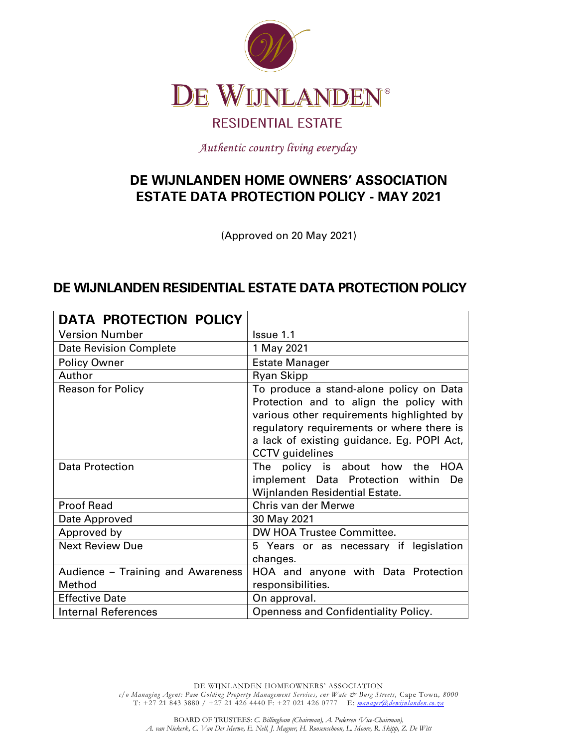

Authentic country living everyday

# <span id="page-0-1"></span><span id="page-0-0"></span>**DE WIJNLANDEN HOME OWNERS' ASSOCIATION ESTATE DATA PROTECTION POLICY - MAY 2021**

(Approved on 20 May 2021)

## <span id="page-0-2"></span>**DE WIJNLANDEN RESIDENTIAL ESTATE DATA PROTECTION POLICY**

| <b>DATA PROTECTION POLICY</b>     |                                                                                                                                                                                                                                                      |
|-----------------------------------|------------------------------------------------------------------------------------------------------------------------------------------------------------------------------------------------------------------------------------------------------|
| <b>Version Number</b>             | Issue 1.1                                                                                                                                                                                                                                            |
| <b>Date Revision Complete</b>     | 1 May 2021                                                                                                                                                                                                                                           |
| <b>Policy Owner</b>               | <b>Estate Manager</b>                                                                                                                                                                                                                                |
| Author                            | <b>Ryan Skipp</b>                                                                                                                                                                                                                                    |
| <b>Reason for Policy</b>          | To produce a stand-alone policy on Data<br>Protection and to align the policy with<br>various other requirements highlighted by<br>regulatory requirements or where there is<br>a lack of existing guidance. Eg. POPI Act,<br><b>CCTV</b> guidelines |
| <b>Data Protection</b>            | The policy is about how the<br>HOA<br>implement Data Protection within De<br>Wijnlanden Residential Estate.                                                                                                                                          |
| <b>Proof Read</b>                 | Chris van der Merwe                                                                                                                                                                                                                                  |
| Date Approved                     | 30 May 2021                                                                                                                                                                                                                                          |
| Approved by                       | DW HOA Trustee Committee.                                                                                                                                                                                                                            |
| <b>Next Review Due</b>            | 5 Years or as necessary if legislation<br>changes.                                                                                                                                                                                                   |
| Audience - Training and Awareness | HOA and anyone with Data Protection                                                                                                                                                                                                                  |
| Method                            | responsibilities.                                                                                                                                                                                                                                    |
| <b>Effective Date</b>             | On approval.                                                                                                                                                                                                                                         |
| <b>Internal References</b>        | Openness and Confidentiality Policy.                                                                                                                                                                                                                 |

DE WIJNLANDEN HOMEOWNERS' ASSOCIATION *c/o Managing Agent: Pam Golding Property Management Services, cnr Wale & Burg Streets,* Cape Town*, 8000*  T: +27 21 843 3880 / +27 21 426 4440 F: +27 021 426 0777 E: *[manager@dewijnlanden.co.za](mailto:manager@dewijnlanden.co.za)*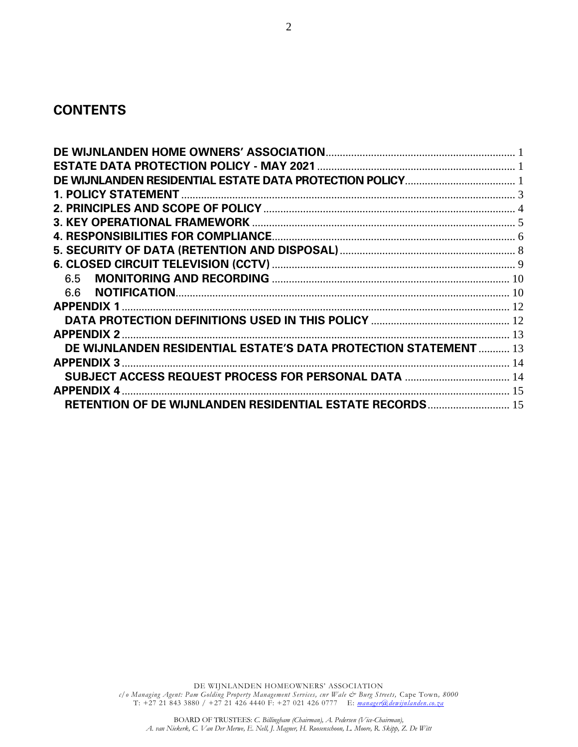### **CONTENTS**

| DE WIJNLANDEN RESIDENTIAL ESTATE'S DATA PROTECTION STATEMENT  13 |  |
|------------------------------------------------------------------|--|
|                                                                  |  |
|                                                                  |  |
|                                                                  |  |
| RETENTION OF DE WIJNLANDEN RESIDENTIAL ESTATE RECORDS 15         |  |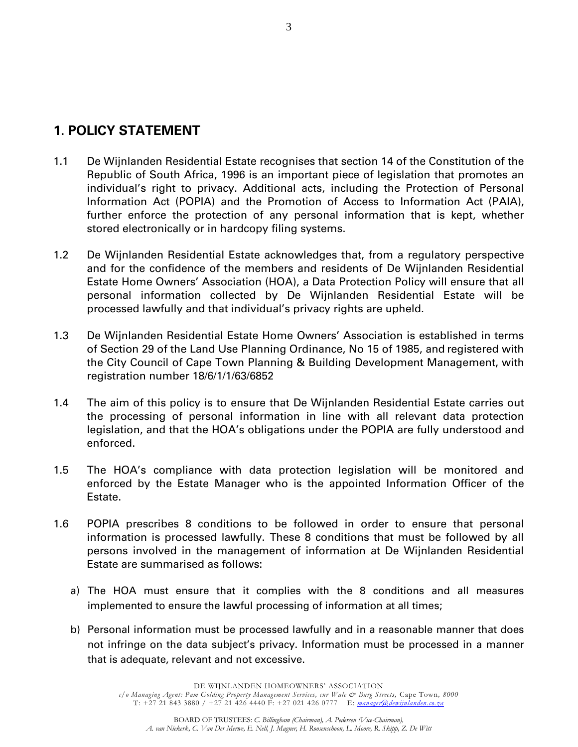## <span id="page-2-0"></span>**1. POLICY STATEMENT**

- 1.1 De Wijnlanden Residential Estate recognises that section 14 of the Constitution of the Republic of South Africa, 1996 is an important piece of legislation that promotes an individual's right to privacy. Additional acts, including the Protection of Personal Information Act (POPIA) and the Promotion of Access to Information Act (PAIA), further enforce the protection of any personal information that is kept, whether stored electronically or in hardcopy filing systems.
- 1.2 De Wijnlanden Residential Estate acknowledges that, from a regulatory perspective and for the confidence of the members and residents of De Wijnlanden Residential Estate Home Owners' Association (HOA), a Data Protection Policy will ensure that all personal information collected by De Wijnlanden Residential Estate will be processed lawfully and that individual's privacy rights are upheld.
- 1.3 De Wijnlanden Residential Estate Home Owners' Association is established in terms of Section 29 of the Land Use Planning Ordinance, No 15 of 1985, and registered with the City Council of Cape Town Planning & Building Development Management, with registration number 18/6/1/1/63/6852
- 1.4 The aim of this policy is to ensure that De Wijnlanden Residential Estate carries out the processing of personal information in line with all relevant data protection legislation, and that the HOA's obligations under the POPIA are fully understood and enforced.
- 1.5 The HOA's compliance with data protection legislation will be monitored and enforced by the Estate Manager who is the appointed Information Officer of the Estate.
- 1.6 POPIA prescribes 8 conditions to be followed in order to ensure that personal information is processed lawfully. These 8 conditions that must be followed by all persons involved in the management of information at De Wijnlanden Residential Estate are summarised as follows:
	- a) The HOA must ensure that it complies with the 8 conditions and all measures implemented to ensure the lawful processing of information at all times;
	- b) Personal information must be processed lawfully and in a reasonable manner that does not infringe on the data subject's privacy. Information must be processed in a manner that is adequate, relevant and not excessive.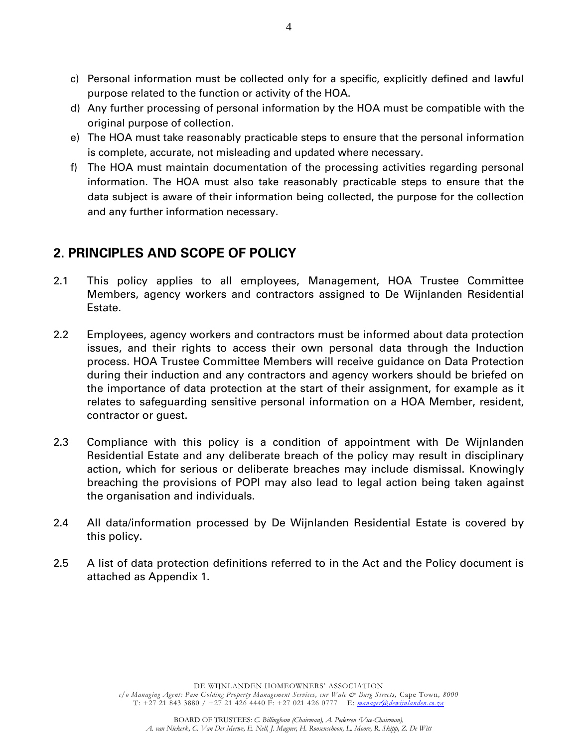- c) Personal information must be collected only for a specific, explicitly defined and lawful purpose related to the function or activity of the HOA.
- d) Any further processing of personal information by the HOA must be compatible with the original purpose of collection.
- e) The HOA must take reasonably practicable steps to ensure that the personal information is complete, accurate, not misleading and updated where necessary.
- f) The HOA must maintain documentation of the processing activities regarding personal information. The HOA must also take reasonably practicable steps to ensure that the data subject is aware of their information being collected, the purpose for the collection and any further information necessary.

# <span id="page-3-0"></span>**2. PRINCIPLES AND SCOPE OF POLICY**

- 2.1 This policy applies to all employees, Management, HOA Trustee Committee Members, agency workers and contractors assigned to De Wijnlanden Residential Estate.
- 2.2 Employees, agency workers and contractors must be informed about data protection issues, and their rights to access their own personal data through the Induction process. HOA Trustee Committee Members will receive guidance on Data Protection during their induction and any contractors and agency workers should be briefed on the importance of data protection at the start of their assignment, for example as it relates to safeguarding sensitive personal information on a HOA Member, resident, contractor or guest.
- 2.3 Compliance with this policy is a condition of appointment with De Wijnlanden Residential Estate and any deliberate breach of the policy may result in disciplinary action, which for serious or deliberate breaches may include dismissal. Knowingly breaching the provisions of POPI may also lead to legal action being taken against the organisation and individuals.
- 2.4 All data/information processed by De Wijnlanden Residential Estate is covered by this policy.
- 2.5 A list of data protection definitions referred to in the Act and the Policy document is attached as Appendix 1.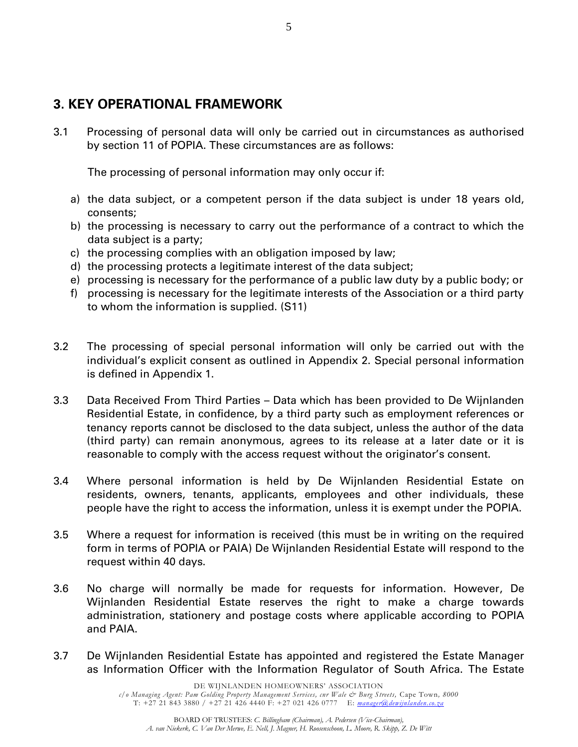## <span id="page-4-0"></span>**3. KEY OPERATIONAL FRAMEWORK**

3.1 Processing of personal data will only be carried out in circumstances as authorised by section 11 of POPIA. These circumstances are as follows:

The processing of personal information may only occur if:

- a) the data subject, or a competent person if the data subject is under 18 years old, consents;
- b) the processing is necessary to carry out the performance of a contract to which the data subject is a party;
- c) the processing complies with an obligation imposed by law;
- d) the processing protects a legitimate interest of the data subject;
- e) processing is necessary for the performance of a public law duty by a public body; or
- f) processing is necessary for the legitimate interests of the Association or a third party to whom the information is supplied. (S11)
- 3.2 The processing of special personal information will only be carried out with the individual's explicit consent as outlined in Appendix 2. Special personal information is defined in Appendix 1.
- 3.3 Data Received From Third Parties Data which has been provided to De Wijnlanden Residential Estate, in confidence, by a third party such as employment references or tenancy reports cannot be disclosed to the data subject, unless the author of the data (third party) can remain anonymous, agrees to its release at a later date or it is reasonable to comply with the access request without the originator's consent.
- 3.4 Where personal information is held by De Wijnlanden Residential Estate on residents, owners, tenants, applicants, employees and other individuals, these people have the right to access the information, unless it is exempt under the POPIA.
- 3.5 Where a request for information is received (this must be in writing on the required form in terms of POPIA or PAIA) De Wijnlanden Residential Estate will respond to the request within 40 days.
- 3.6 No charge will normally be made for requests for information. However, De Wijnlanden Residential Estate reserves the right to make a charge towards administration, stationery and postage costs where applicable according to POPIA and PAIA.
- 3.7 De Wijnlanden Residential Estate has appointed and registered the Estate Manager as Information Officer with the Information Regulator of South Africa. The Estate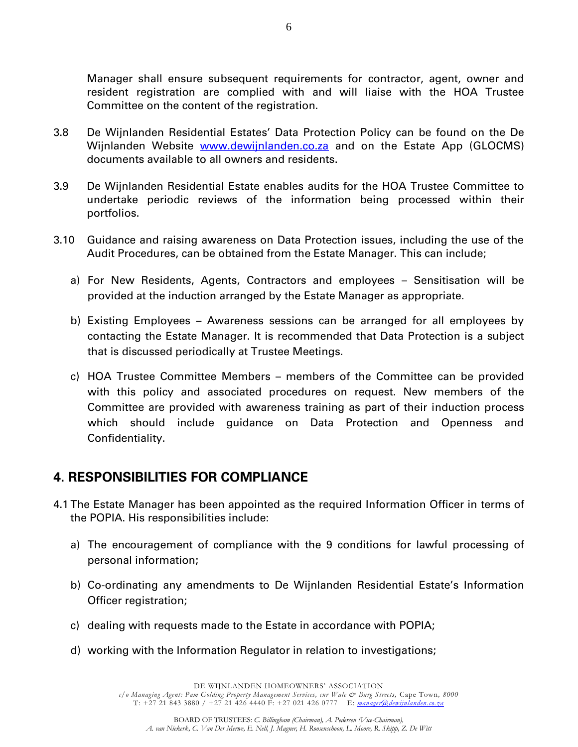Manager shall ensure subsequent requirements for contractor, agent, owner and resident registration are complied with and will liaise with the HOA Trustee Committee on the content of the registration.

- 3.8 De Wijnlanden Residential Estates' Data Protection Policy can be found on the De Wijnlanden Website [www.dewijnlanden.co.za](http://www.dewijnlanden.co.za/) and on the Estate App (GLOCMS) documents available to all owners and residents.
- 3.9 De Wijnlanden Residential Estate enables audits for the HOA Trustee Committee to undertake periodic reviews of the information being processed within their portfolios.
- 3.10 Guidance and raising awareness on Data Protection issues, including the use of the Audit Procedures, can be obtained from the Estate Manager. This can include;
	- a) For New Residents, Agents, Contractors and employees Sensitisation will be provided at the induction arranged by the Estate Manager as appropriate.
	- b) Existing Employees Awareness sessions can be arranged for all employees by contacting the Estate Manager. It is recommended that Data Protection is a subject that is discussed periodically at Trustee Meetings.
	- c) HOA Trustee Committee Members members of the Committee can be provided with this policy and associated procedures on request. New members of the Committee are provided with awareness training as part of their induction process which should include guidance on Data Protection and Openness and Confidentiality.

### <span id="page-5-0"></span>**4. RESPONSIBILITIES FOR COMPLIANCE**

- 4.1 The Estate Manager has been appointed as the required Information Officer in terms of the POPIA. His responsibilities include:
	- a) The encouragement of compliance with the 9 conditions for lawful processing of personal information;
	- b) Co-ordinating any amendments to De Wijnlanden Residential Estate's Information Officer registration;
	- c) dealing with requests made to the Estate in accordance with POPIA;
	- d) working with the Information Regulator in relation to investigations;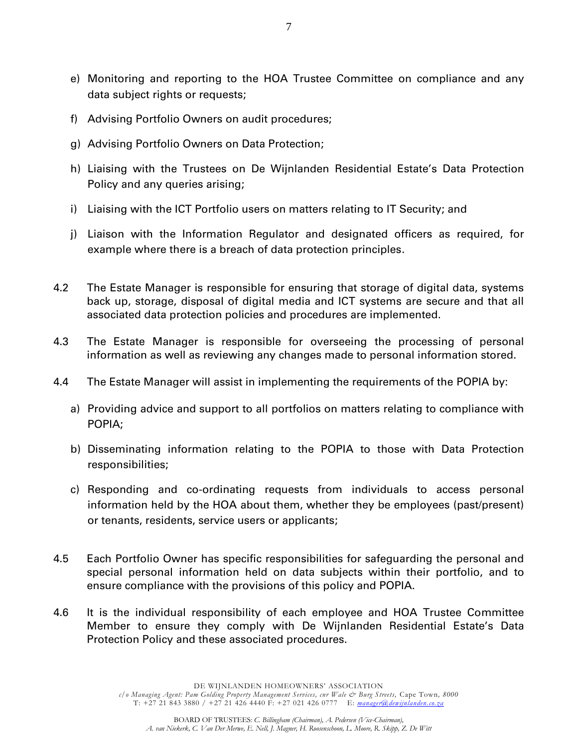- e) Monitoring and reporting to the HOA Trustee Committee on compliance and any data subject rights or requests;
- f) Advising Portfolio Owners on audit procedures;
- g) Advising Portfolio Owners on Data Protection;
- h) Liaising with the Trustees on De Wijnlanden Residential Estate's Data Protection Policy and any queries arising;
- i) Liaising with the ICT Portfolio users on matters relating to IT Security; and
- j) Liaison with the Information Regulator and designated officers as required, for example where there is a breach of data protection principles.
- 4.2 The Estate Manager is responsible for ensuring that storage of digital data, systems back up, storage, disposal of digital media and ICT systems are secure and that all associated data protection policies and procedures are implemented.
- 4.3 The Estate Manager is responsible for overseeing the processing of personal information as well as reviewing any changes made to personal information stored.
- 4.4 The Estate Manager will assist in implementing the requirements of the POPIA by:
	- a) Providing advice and support to all portfolios on matters relating to compliance with POPIA;
	- b) Disseminating information relating to the POPIA to those with Data Protection responsibilities;
	- c) Responding and co-ordinating requests from individuals to access personal information held by the HOA about them, whether they be employees (past/present) or tenants, residents, service users or applicants;
- 4.5 Each Portfolio Owner has specific responsibilities for safeguarding the personal and special personal information held on data subjects within their portfolio, and to ensure compliance with the provisions of this policy and POPIA.
- 4.6 It is the individual responsibility of each employee and HOA Trustee Committee Member to ensure they comply with De Wijnlanden Residential Estate's Data Protection Policy and these associated procedures.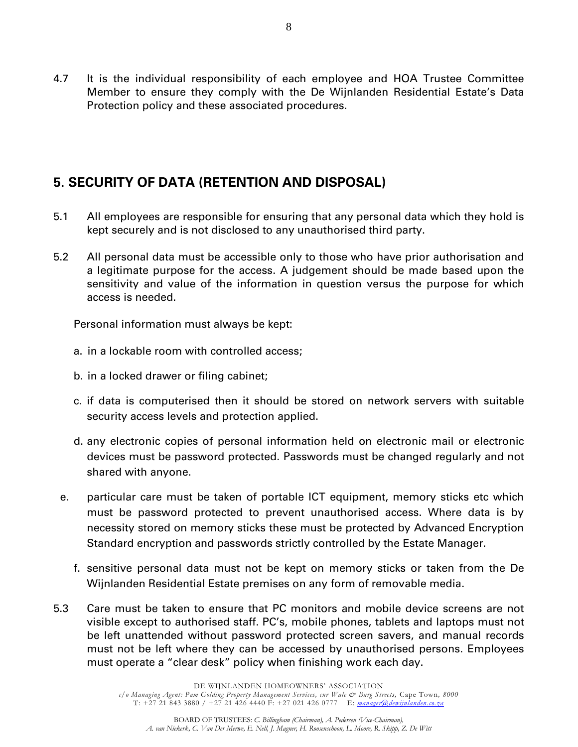4.7 It is the individual responsibility of each employee and HOA Trustee Committee Member to ensure they comply with the De Wijnlanden Residential Estate's Data Protection policy and these associated procedures.

# <span id="page-7-0"></span>**5. SECURITY OF DATA (RETENTION AND DISPOSAL)**

- 5.1 All employees are responsible for ensuring that any personal data which they hold is kept securely and is not disclosed to any unauthorised third party.
- 5.2 All personal data must be accessible only to those who have prior authorisation and a legitimate purpose for the access. A judgement should be made based upon the sensitivity and value of the information in question versus the purpose for which access is needed.

Personal information must always be kept:

- a. in a lockable room with controlled access;
- b. in a locked drawer or filing cabinet;
- c. if data is computerised then it should be stored on network servers with suitable security access levels and protection applied.
- d. any electronic copies of personal information held on electronic mail or electronic devices must be password protected. Passwords must be changed regularly and not shared with anyone.
- e. particular care must be taken of portable ICT equipment, memory sticks etc which must be password protected to prevent unauthorised access. Where data is by necessity stored on memory sticks these must be protected by Advanced Encryption Standard encryption and passwords strictly controlled by the Estate Manager.
	- f. sensitive personal data must not be kept on memory sticks or taken from the De Wijnlanden Residential Estate premises on any form of removable media.
- 5.3 Care must be taken to ensure that PC monitors and mobile device screens are not visible except to authorised staff. PC's, mobile phones, tablets and laptops must not be left unattended without password protected screen savers, and manual records must not be left where they can be accessed by unauthorised persons. Employees must operate a "clear desk" policy when finishing work each day.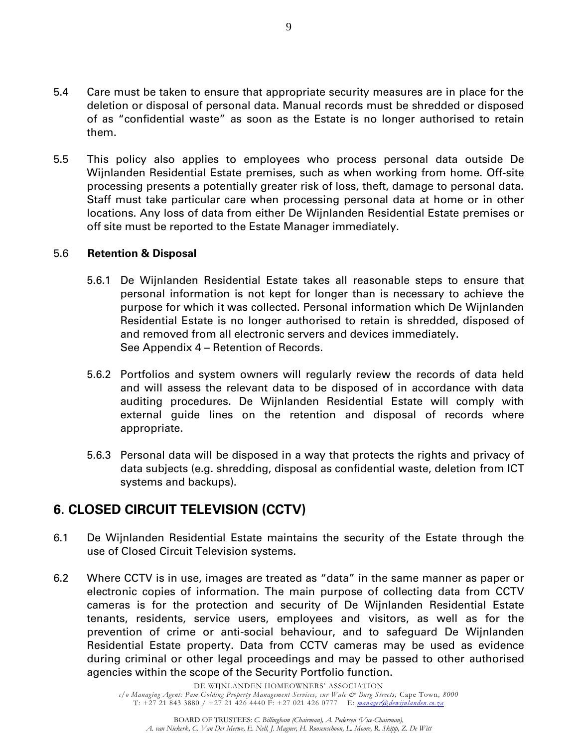- 5.4 Care must be taken to ensure that appropriate security measures are in place for the deletion or disposal of personal data. Manual records must be shredded or disposed of as "confidential waste" as soon as the Estate is no longer authorised to retain them.
- 5.5 This policy also applies to employees who process personal data outside De Wijnlanden Residential Estate premises, such as when working from home. Off-site processing presents a potentially greater risk of loss, theft, damage to personal data. Staff must take particular care when processing personal data at home or in other locations. Any loss of data from either De Wijnlanden Residential Estate premises or off site must be reported to the Estate Manager immediately.

#### 5.6 **Retention & Disposal**

- 5.6.1 De Wijnlanden Residential Estate takes all reasonable steps to ensure that personal information is not kept for longer than is necessary to achieve the purpose for which it was collected. Personal information which De Wijnlanden Residential Estate is no longer authorised to retain is shredded, disposed of and removed from all electronic servers and devices immediately. See Appendix 4 – Retention of Records.
- 5.6.2 Portfolios and system owners will regularly review the records of data held and will assess the relevant data to be disposed of in accordance with data auditing procedures. De Wijnlanden Residential Estate will comply with external guide lines on the retention and disposal of records where appropriate.
- 5.6.3 Personal data will be disposed in a way that protects the rights and privacy of data subjects (e.g. shredding, disposal as confidential waste, deletion from ICT systems and backups).

## <span id="page-8-0"></span>**6. CLOSED CIRCUIT TELEVISION (CCTV)**

- 6.1 De Wijnlanden Residential Estate maintains the security of the Estate through the use of Closed Circuit Television systems.
- 6.2 Where CCTV is in use, images are treated as "data" in the same manner as paper or electronic copies of information. The main purpose of collecting data from CCTV cameras is for the protection and security of De Wijnlanden Residential Estate tenants, residents, service users, employees and visitors, as well as for the prevention of crime or anti-social behaviour, and to safeguard De Wijnlanden Residential Estate property. Data from CCTV cameras may be used as evidence during criminal or other legal proceedings and may be passed to other authorised agencies within the scope of the Security Portfolio function.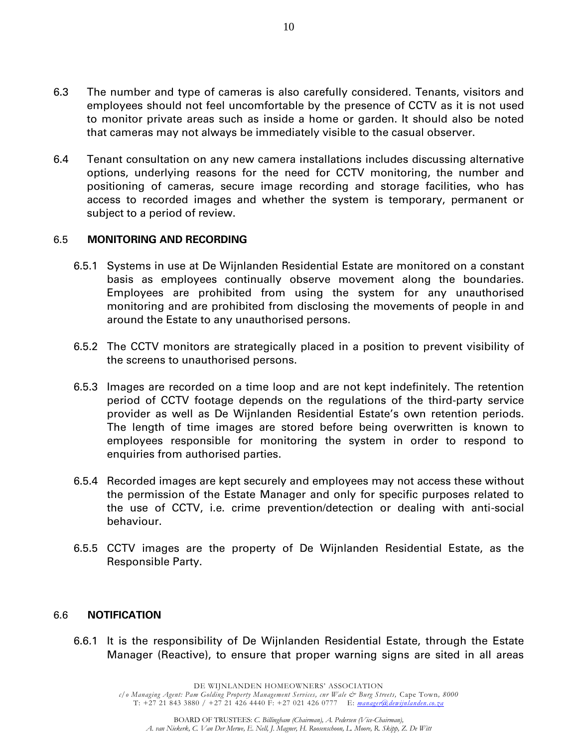- 6.3 The number and type of cameras is also carefully considered. Tenants, visitors and employees should not feel uncomfortable by the presence of CCTV as it is not used to monitor private areas such as inside a home or garden. It should also be noted that cameras may not always be immediately visible to the casual observer.
- 6.4 Tenant consultation on any new camera installations includes discussing alternative options, underlying reasons for the need for CCTV monitoring, the number and positioning of cameras, secure image recording and storage facilities, who has access to recorded images and whether the system is temporary, permanent or subject to a period of review.

#### <span id="page-9-0"></span>6.5 **MONITORING AND RECORDING**

- 6.5.1 Systems in use at De Wijnlanden Residential Estate are monitored on a constant basis as employees continually observe movement along the boundaries. Employees are prohibited from using the system for any unauthorised monitoring and are prohibited from disclosing the movements of people in and around the Estate to any unauthorised persons.
- 6.5.2 The CCTV monitors are strategically placed in a position to prevent visibility of the screens to unauthorised persons.
- 6.5.3 Images are recorded on a time loop and are not kept indefinitely. The retention period of CCTV footage depends on the regulations of the third-party service provider as well as De Wijnlanden Residential Estate's own retention periods. The length of time images are stored before being overwritten is known to employees responsible for monitoring the system in order to respond to enquiries from authorised parties.
- 6.5.4 Recorded images are kept securely and employees may not access these without the permission of the Estate Manager and only for specific purposes related to the use of CCTV, i.e. crime prevention/detection or dealing with anti-social behaviour.
- 6.5.5 CCTV images are the property of De Wijnlanden Residential Estate, as the Responsible Party.

#### <span id="page-9-1"></span>6.6 **NOTIFICATION**

6.6.1 It is the responsibility of De Wijnlanden Residential Estate, through the Estate Manager (Reactive), to ensure that proper warning signs are sited in all areas

> DE WIJNLANDEN HOMEOWNERS' ASSOCIATION *c/o Managing Agent: Pam Golding Property Management Services, cnr Wale & Burg Streets,* Cape Town*, 8000*

T: +27 21 843 3880 / +27 21 426 4440 F: +27 021 426 0777 E: *[manager@dewijnlanden.co.za](mailto:manager@dewijnlanden.co.za)*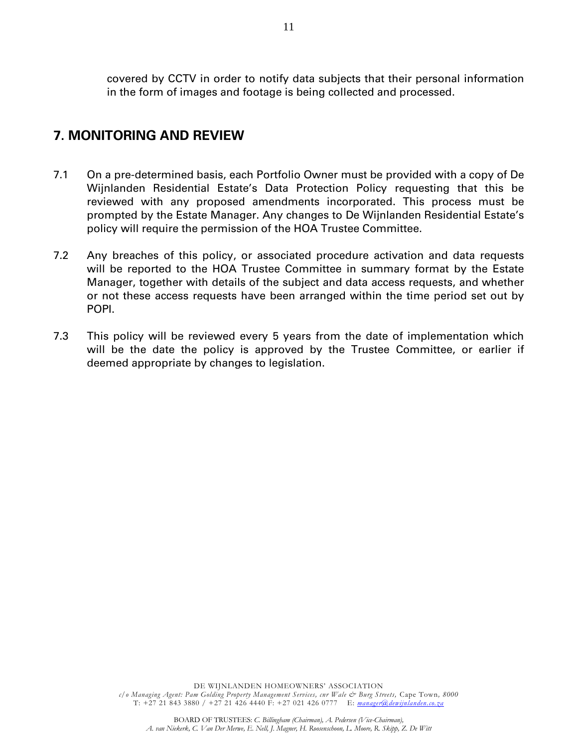covered by CCTV in order to notify data subjects that their personal information in the form of images and footage is being collected and processed.

### **7. MONITORING AND REVIEW**

- 7.1 On a pre-determined basis, each Portfolio Owner must be provided with a copy of De Wijnlanden Residential Estate's Data Protection Policy requesting that this be reviewed with any proposed amendments incorporated. This process must be prompted by the Estate Manager. Any changes to De Wijnlanden Residential Estate's policy will require the permission of the HOA Trustee Committee.
- 7.2 Any breaches of this policy, or associated procedure activation and data requests will be reported to the HOA Trustee Committee in summary format by the Estate Manager, together with details of the subject and data access requests, and whether or not these access requests have been arranged within the time period set out by POPI.
- 7.3 This policy will be reviewed every 5 years from the date of implementation which will be the date the policy is approved by the Trustee Committee, or earlier if deemed appropriate by changes to legislation.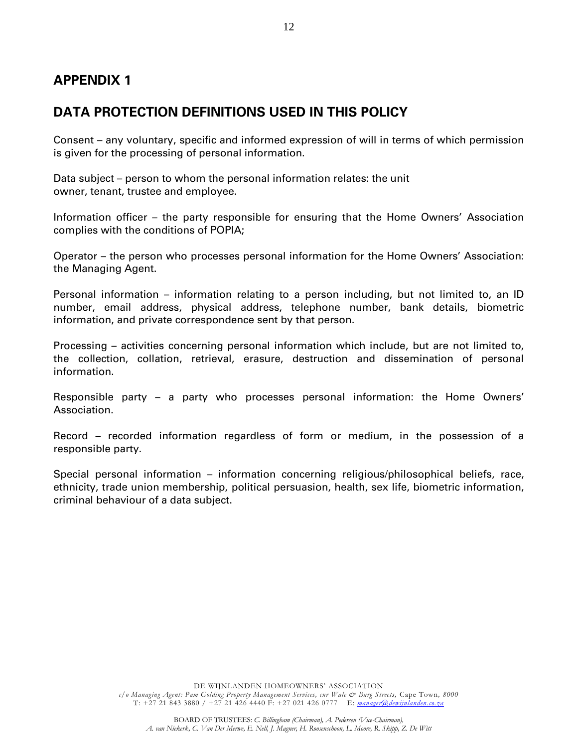## <span id="page-11-1"></span><span id="page-11-0"></span>**DATA PROTECTION DEFINITIONS USED IN THIS POLICY**

Consent – any voluntary, specific and informed expression of will in terms of which permission is given for the processing of personal information.

Data subject – person to whom the personal information relates: the unit owner, tenant, trustee and employee.

Information officer – the party responsible for ensuring that the Home Owners' Association complies with the conditions of POPIA;

Operator – the person who processes personal information for the Home Owners' Association: the Managing Agent.

Personal information – information relating to a person including, but not limited to, an ID number, email address, physical address, telephone number, bank details, biometric information, and private correspondence sent by that person.

Processing – activities concerning personal information which include, but are not limited to, the collection, collation, retrieval, erasure, destruction and dissemination of personal information.

Responsible party – a party who processes personal information: the Home Owners' Association.

Record – recorded information regardless of form or medium, in the possession of a responsible party.

Special personal information – information concerning religious/philosophical beliefs, race, ethnicity, trade union membership, political persuasion, health, sex life, biometric information, criminal behaviour of a data subject.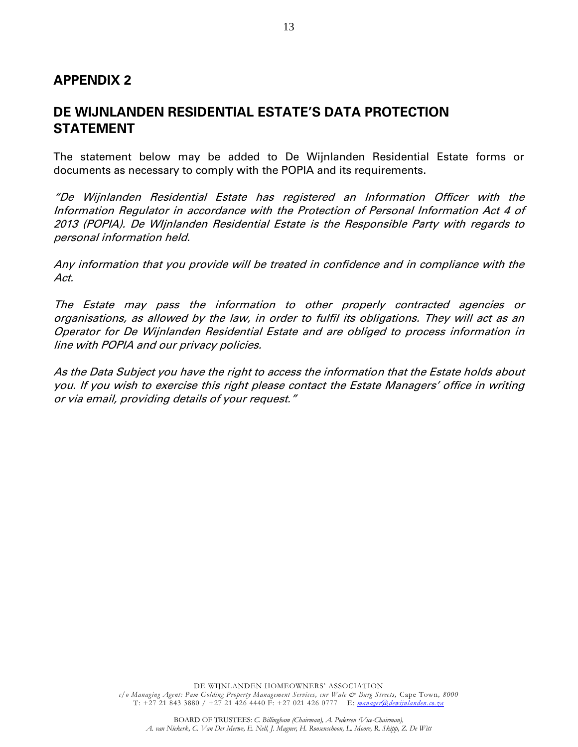### <span id="page-12-1"></span><span id="page-12-0"></span>**DE WIJNLANDEN RESIDENTIAL ESTATE'S DATA PROTECTION STATEMENT**

The statement below may be added to De Wijnlanden Residential Estate forms or documents as necessary to comply with the POPIA and its requirements.

"De Wijnlanden Residential Estate has registered an Information Officer with the Information Regulator in accordance with the Protection of Personal Information Act 4 of 2013 (POPIA). De WIjnlanden Residential Estate is the Responsible Party with regards to personal information held.

Any information that you provide will be treated in confidence and in compliance with the Act.

The Estate may pass the information to other properly contracted agencies or organisations, as allowed by the law, in order to fulfil its obligations. They will act as an Operator for De Wijnlanden Residential Estate and are obliged to process information in line with POPIA and our privacy policies.

As the Data Subject you have the right to access the information that the Estate holds about you. If you wish to exercise this right please contact the Estate Managers' office in writing or via email, providing details of your request."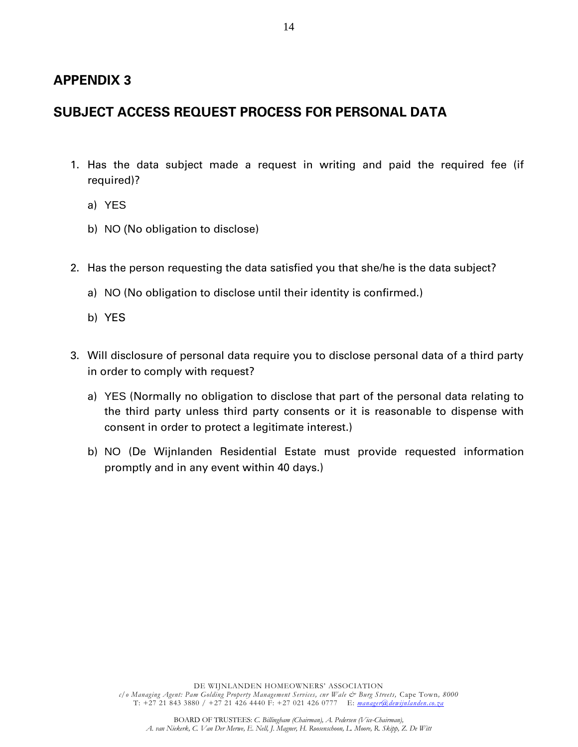## <span id="page-13-1"></span><span id="page-13-0"></span>**SUBJECT ACCESS REQUEST PROCESS FOR PERSONAL DATA**

- 1. Has the data subject made a request in writing and paid the required fee (if required)?
	- a) YES
	- b) NO (No obligation to disclose)
- 2. Has the person requesting the data satisfied you that she/he is the data subject?
	- a) NO (No obligation to disclose until their identity is confirmed.)
	- b) YES
- 3. Will disclosure of personal data require you to disclose personal data of a third party in order to comply with request?
	- a) YES (Normally no obligation to disclose that part of the personal data relating to the third party unless third party consents or it is reasonable to dispense with consent in order to protect a legitimate interest.)
	- b) NO (De Wijnlanden Residential Estate must provide requested information promptly and in any event within 40 days.)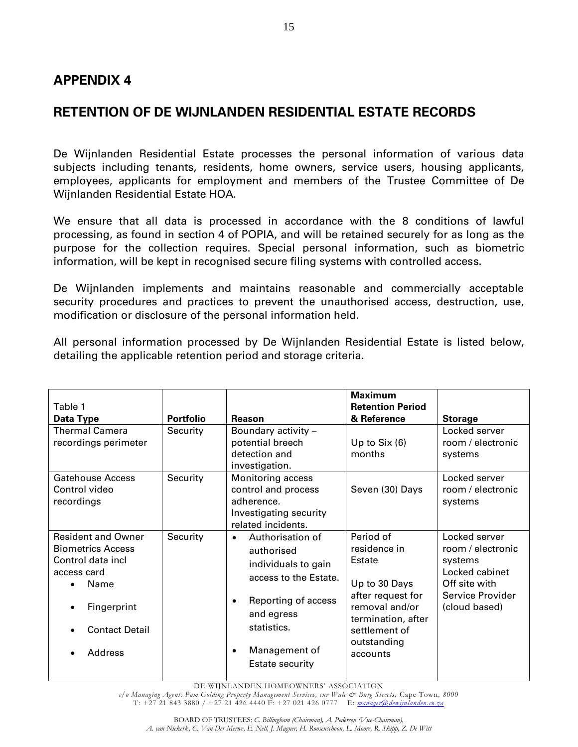### <span id="page-14-1"></span><span id="page-14-0"></span>**RETENTION OF DE WIJNLANDEN RESIDENTIAL ESTATE RECORDS**

De Wijnlanden Residential Estate processes the personal information of various data subjects including tenants, residents, home owners, service users, housing applicants, employees, applicants for employment and members of the Trustee Committee of De Wijnlanden Residential Estate HOA.

We ensure that all data is processed in accordance with the 8 conditions of lawful processing, as found in section 4 of POPIA, and will be retained securely for as long as the purpose for the collection requires. Special personal information, such as biometric information, will be kept in recognised secure filing systems with controlled access.

De Wijnlanden implements and maintains reasonable and commercially acceptable security procedures and practices to prevent the unauthorised access, destruction, use, modification or disclosure of the personal information held.

All personal information processed by De Wijnlanden Residential Estate is listed below, detailing the applicable retention period and storage criteria.

| Table 1<br>Data Type                                                                                                                                                   | <b>Portfolio</b> | Reason                                                                                                                                                                              | <b>Maximum</b><br><b>Retention Period</b><br>& Reference                                                                                                      | <b>Storage</b>                                                                                                        |
|------------------------------------------------------------------------------------------------------------------------------------------------------------------------|------------------|-------------------------------------------------------------------------------------------------------------------------------------------------------------------------------------|---------------------------------------------------------------------------------------------------------------------------------------------------------------|-----------------------------------------------------------------------------------------------------------------------|
| <b>Thermal Camera</b><br>recordings perimeter                                                                                                                          | Security         | Boundary activity -<br>potential breech<br>detection and<br>investigation.                                                                                                          | Up to $Six(6)$<br>months                                                                                                                                      | Locked server<br>room / electronic<br>systems                                                                         |
| <b>Gatehouse Access</b><br>Control video<br>recordings                                                                                                                 | Security         | Monitoring access<br>control and process<br>adherence.<br>Investigating security<br>related incidents.                                                                              | Seven (30) Days                                                                                                                                               | Locked server<br>room / electronic<br>systems                                                                         |
| <b>Resident and Owner</b><br><b>Biometrics Access</b><br>Control data incl<br>access card<br>Name<br>$\bullet$<br>Fingerprint<br>٠<br><b>Contact Detail</b><br>Address | Security         | Authorisation of<br>$\bullet$<br>authorised<br>individuals to gain<br>access to the Estate.<br>Reporting of access<br>and egress<br>statistics.<br>Management of<br>Estate security | Period of<br>residence in<br>Estate<br>Up to 30 Days<br>after request for<br>removal and/or<br>termination, after<br>settlement of<br>outstanding<br>accounts | Locked server<br>room / electronic<br>systems<br>Locked cabinet<br>Off site with<br>Service Provider<br>(cloud based) |

DE WIJNLANDEN HOMEOWNERS' ASSOCIATION

*c/o Managing Agent: Pam Golding Property Management Services, cnr Wale & Burg Streets,* Cape Town*, 8000*  T: +27 21 843 3880 / +27 21 426 4440 F: +27 021 426 0777 E: *[manager@dewijnlanden.co.za](mailto:manager@dewijnlanden.co.za)*

15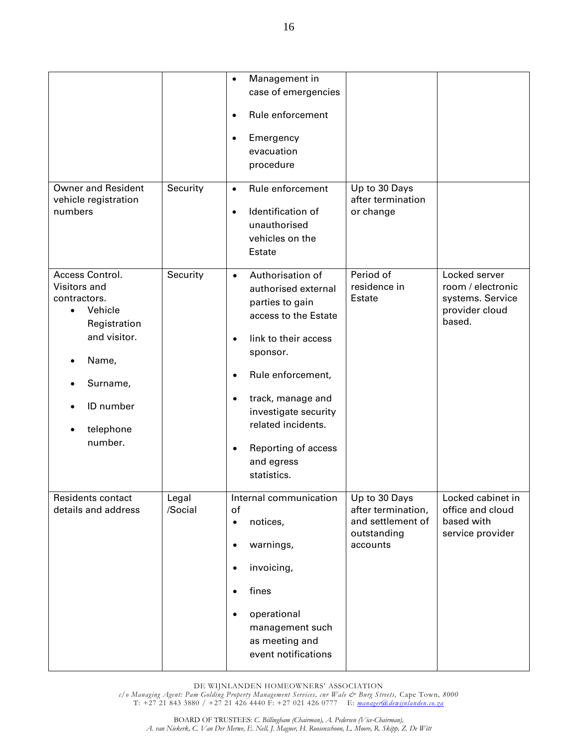| <b>Owner and Resident</b><br>vehicle registration<br>numbers               | Security         | Management in<br>$\bullet$<br>case of emergencies<br>Rule enforcement<br>$\bullet$<br>Emergency<br>$\bullet$<br>evacuation<br>procedure<br>Rule enforcement<br>$\bullet$<br>Identification of<br>$\bullet$<br>unauthorised<br>vehicles on the | Up to 30 Days<br>after termination<br>or change                                     |                                                                                    |
|----------------------------------------------------------------------------|------------------|-----------------------------------------------------------------------------------------------------------------------------------------------------------------------------------------------------------------------------------------------|-------------------------------------------------------------------------------------|------------------------------------------------------------------------------------|
| Access Control.<br>Visitors and<br>contractors.<br>Vehicle<br>Registration | Security         | Estate<br>Authorisation of<br>$\bullet$<br>authorised external<br>parties to gain<br>access to the Estate                                                                                                                                     | Period of<br>residence in<br>Estate                                                 | Locked server<br>room / electronic<br>systems. Service<br>provider cloud<br>based. |
| and visitor.<br>Name,<br>Surname,<br>ID number<br>telephone<br>number.     |                  | link to their access<br>$\bullet$<br>sponsor.<br>Rule enforcement,<br>$\bullet$<br>track, manage and<br>$\bullet$<br>investigate security<br>related incidents.<br>Reporting of access<br>$\bullet$<br>and egress<br>statistics.              |                                                                                     |                                                                                    |
| <b>Residents contact</b><br>details and address                            | Legal<br>/Social | Internal communication<br>of<br>notices,<br>$\bullet$<br>warnings,<br>$\bullet$<br>invoicing,<br>$\bullet$<br>fines<br>$\bullet$<br>operational<br>$\bullet$<br>management such<br>as meeting and<br>event notifications                      | Up to 30 Days<br>after termination,<br>and settlement of<br>outstanding<br>accounts | Locked cabinet in<br>office and cloud<br>based with<br>service provider            |

*c/o Managing Agent: Pam Golding Property Management Services, cnr Wale & Burg Streets,* Cape Town*, 8000*  T: +27 21 843 3880 / +27 21 426 4440 F: +27 021 426 0777 E: *[manager@dewijnlanden.co.za](mailto:manager@dewijnlanden.co.za)*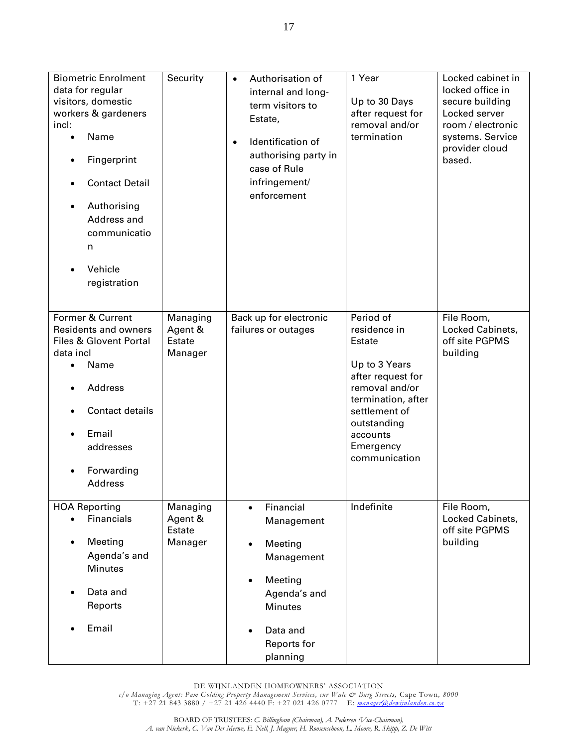| <b>Biometric Enrolment</b><br>data for regular<br>visitors, domestic<br>workers & gardeners<br>incl:<br>Name<br>Fingerprint<br><b>Contact Detail</b><br>Authorising<br>$\bullet$<br>Address and<br>communicatio<br>n<br>Vehicle<br>registration | Security                                        | Authorisation of<br>$\bullet$<br>internal and long-<br>term visitors to<br>Estate,<br>Identification of<br>$\bullet$<br>authorising party in<br>case of Rule<br>infringement/<br>enforcement    | 1 Year<br>Up to 30 Days<br>after request for<br>removal and/or<br>termination                                                                                                               | Locked cabinet in<br>locked office in<br>secure building<br>Locked server<br>room / electronic<br>systems. Service<br>provider cloud<br>based. |
|-------------------------------------------------------------------------------------------------------------------------------------------------------------------------------------------------------------------------------------------------|-------------------------------------------------|-------------------------------------------------------------------------------------------------------------------------------------------------------------------------------------------------|---------------------------------------------------------------------------------------------------------------------------------------------------------------------------------------------|------------------------------------------------------------------------------------------------------------------------------------------------|
| Former & Current<br><b>Residents and owners</b><br>Files & Glovent Portal<br>data incl<br>Name<br>$\bullet$<br>Address<br>Contact details<br>Email<br>addresses<br>Forwarding<br><b>Address</b>                                                 | Managing<br>Agent &<br><b>Estate</b><br>Manager | Back up for electronic<br>failures or outages                                                                                                                                                   | Period of<br>residence in<br>Estate<br>Up to 3 Years<br>after request for<br>removal and/or<br>termination, after<br>settlement of<br>outstanding<br>accounts<br>Emergency<br>communication | File Room,<br>Locked Cabinets,<br>off site PGPMS<br>building                                                                                   |
| <b>HOA Reporting</b><br>Financials<br>Meeting<br>Agenda's and<br><b>Minutes</b><br>Data and<br>Reports<br>Email                                                                                                                                 | Managing<br>Agent &<br><b>Estate</b><br>Manager | Financial<br>$\bullet$<br>Management<br>Meeting<br>$\bullet$<br>Management<br>Meeting<br>$\bullet$<br>Agenda's and<br><b>Minutes</b><br>Data and<br>$\bullet$<br><b>Reports for</b><br>planning | Indefinite                                                                                                                                                                                  | File Room,<br>Locked Cabinets,<br>off site PGPMS<br>building                                                                                   |

DE WIJNLANDEN HOMEOWNERS' ASSOCIATION

*c/o Managing Agent: Pam Golding Property Management Services, cnr Wale & Burg Streets,* Cape Town*, 8000*  T: +27 21 843 3880 / +27 21 426 4440 F: +27 021 426 0777 E: *[manager@dewijnlanden.co.za](mailto:manager@dewijnlanden.co.za)*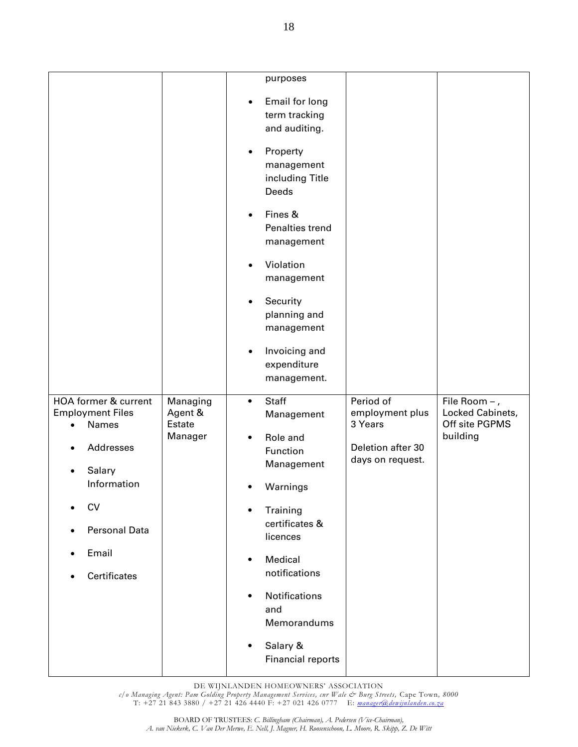| purposes<br>Email for long<br>$\bullet$<br>term tracking<br>and auditing.<br>Property<br>$\bullet$<br>management<br>including Title<br>Deeds<br>Fines &<br>$\bullet$<br>Penalties trend<br>management<br>Violation<br>$\bullet$<br>management<br>Security<br>$\bullet$<br>planning and<br>management<br>Invoicing and<br>$\bullet$<br>expenditure<br>management.<br><b>Staff</b><br>Period of<br>HOA former & current<br>Managing<br>File Room - ,<br>$\bullet$<br>Locked Cabinets,<br><b>Employment Files</b><br>Agent &<br>employment plus<br>Management<br>Estate<br>Off site PGPMS<br>3 Years<br>Names |  |
|------------------------------------------------------------------------------------------------------------------------------------------------------------------------------------------------------------------------------------------------------------------------------------------------------------------------------------------------------------------------------------------------------------------------------------------------------------------------------------------------------------------------------------------------------------------------------------------------------------|--|
|                                                                                                                                                                                                                                                                                                                                                                                                                                                                                                                                                                                                            |  |
|                                                                                                                                                                                                                                                                                                                                                                                                                                                                                                                                                                                                            |  |
|                                                                                                                                                                                                                                                                                                                                                                                                                                                                                                                                                                                                            |  |
|                                                                                                                                                                                                                                                                                                                                                                                                                                                                                                                                                                                                            |  |
|                                                                                                                                                                                                                                                                                                                                                                                                                                                                                                                                                                                                            |  |
|                                                                                                                                                                                                                                                                                                                                                                                                                                                                                                                                                                                                            |  |
|                                                                                                                                                                                                                                                                                                                                                                                                                                                                                                                                                                                                            |  |
|                                                                                                                                                                                                                                                                                                                                                                                                                                                                                                                                                                                                            |  |
|                                                                                                                                                                                                                                                                                                                                                                                                                                                                                                                                                                                                            |  |
| building<br>Manager<br>Role and<br>٠<br>Addresses<br>Deletion after 30<br>Function                                                                                                                                                                                                                                                                                                                                                                                                                                                                                                                         |  |
| days on request.<br>Management<br>Salary                                                                                                                                                                                                                                                                                                                                                                                                                                                                                                                                                                   |  |
| Information<br>Warnings                                                                                                                                                                                                                                                                                                                                                                                                                                                                                                                                                                                    |  |
| <b>CV</b><br>Training<br>$\bullet$                                                                                                                                                                                                                                                                                                                                                                                                                                                                                                                                                                         |  |
| certificates &<br><b>Personal Data</b><br>licences                                                                                                                                                                                                                                                                                                                                                                                                                                                                                                                                                         |  |
| Email<br>Medical<br>$\bullet$                                                                                                                                                                                                                                                                                                                                                                                                                                                                                                                                                                              |  |
|                                                                                                                                                                                                                                                                                                                                                                                                                                                                                                                                                                                                            |  |
| notifications<br><b>Certificates</b>                                                                                                                                                                                                                                                                                                                                                                                                                                                                                                                                                                       |  |
| Notifications<br>$\bullet$<br>and                                                                                                                                                                                                                                                                                                                                                                                                                                                                                                                                                                          |  |
| Memorandums                                                                                                                                                                                                                                                                                                                                                                                                                                                                                                                                                                                                |  |

DE WIJNLANDEN HOMEOWNERS' ASSOCIATION

*c/o Managing Agent: Pam Golding Property Management Services, cnr Wale & Burg Streets,* Cape Town*, 8000*  T: +27 21 843 3880 / +27 21 426 4440 F: +27 021 426 0777 E: *[manager@dewijnlanden.co.za](mailto:manager@dewijnlanden.co.za)*